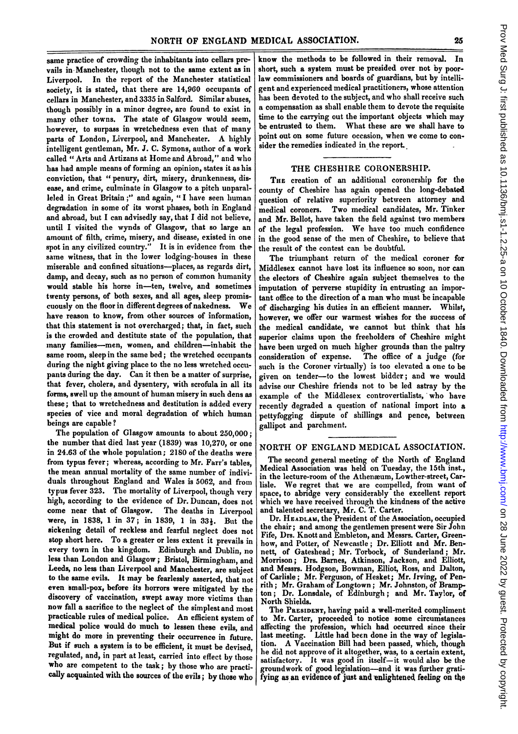same practice of crowding the inhabitants into cellars prevails in Manclhester, though not to the same extent as in Liverpool. In the report of the Manchester statistical society, it is stated, that there are 14,960 occupants of cellars in Manchester, and 3335 in Salford. Similar abuses, though possibly in a minor degree, are found to exist in many other towns. The state of Glasgow would seem, however, to surpass in wretchedness even that of many parts of London, Liverpool, and Manchester. A highly intelligent gentleman, Mr. J. C. Symons, author of a work called " Arts and Artizans at Home and Abroad," and who has had ample means of forming an opinion, states it as his conviction, that "penury, dirt, misery, drunkenness, disease, and crime, culminate in Glasgow to a pitch unparalleled in Great Britain;" and again, "I have seen human degradation in some of its worst phases, both in England and abroad, but <sup>I</sup> can advisedly say, that I did not believe, until I visited the wynds of Glasgow, that so large an amounit of filth, crime, misery, and disease, existed in one spot in any civilized country." It is in evidence from thesame witness, that in the lower lodging-houses in these miserable and confined situations-places, as regards dirt, damp, and decay, such as no person of common humanity would stable his horse in-ten, twelve, and sometimes twenty persons, of both sexes, and all ages, sleep promiscuously on the floor in diffierent degrees of nakedness. We have reason to know, from other sources of information, that this statement is not overcharged; that, in fact, such is the crowded and destitute state of the population, that many families-men, women, and children-inhabit the same room, sleep in the same bed; the wretched occupants during the night giving place to the no less wretched occupants during the day. Can it then be a matter of surprise, that fever, cholera, and dysentery, with scrofula in all its forms, swell up the amount of human misery in such dens as these; that to wretchedness and destitution is added every species of vice and moral degradation of which human beings are capable ?

The population of Glasgow amounts to about 250,000; the number that died last year (1839) was 10,270, or one in 24.63 of the whole population; 2180 of the deaths were from typus fever; whereas, according to Mr. Farr's tables, the mean annual mortality of the same number of individuals throughout England and Wales is 5062, and from typus fever 323. The mortality of Liverpool, though very high, according to the evidence of Dr. Duncan, does not come near that of Glasgow. The deaths in Liverpool were, in 1838, 1 in 37; in 1839, 1 in 33 $\frac{1}{2}$ . But the sickening detail of reckless and fearful neglect does not stop short here. To a greater or less extent it prevails in every town in the kingdom. Edinburgh and Dublin, no less than London and Glasgow; Bristol, Birmingham, and Leeds, no less than Liverpool and Manchester, are subject to the same evils. It may be fearlessly asserted, that not even small-pox, before its horrors were mitigated by the discovery of vaccination, swept away more victims than now fall a sacrifice to the neglect of the simplest and most practicable rules of medical police. An efficient system of medical police would do much to lessen these evils, and might do more in preventing their occurrence in future. But if such a system is to be efficient, it must be devised, regulated, and, in part at least, carried into effect by those who are competent to the task; by those who are practically acquainted with the sources of the evils; by those who

know the methods to be followed in their removal. In short, such a system must be presided over not by poorlaw commissioners and boards of guardians, but by intelligent and experienced medical practitioners, whose attention has been devoted to the subject, and who shall receive such a compensation as shall enable them to devote the requisite time to the carrying out the important objects which may be entrusted to them. What these are we shall have to point out on some future occasion, when we come to consider the remedies indicated in the report.

## THE CHESHIRE CORONERSHIP.

THE creation of an additional coronership for the county of Cheshire has again opened the long-debated question of relative superiority between attorney and medical coroners. Two medical candidates, Mr. Tinker and Mr. Bellot, have taken the field against two members of the legal profession. We have too much confidence in the good sense of the men of Cheshire, to believe that the result of the contest can be doubtful.

The triumphant return of the medical coroner for Middlesex cannot have lost its influence so soon, nor can the electors of Cheshire again subject themselves to the imputation of perverse stupidity in entrusting an important office to the direction of a man who must be incapable of discharging his duties in an efficient manner. Whilst, however, we offer our warmest wishes for the success of the medical candidate, we cannot but think that his superior claims upon the freeholders of Cheshire might have been urged on much higher grounds than the paltry consideration of expense. The office of a judge (for such is the Coroner virtually) is too elevated a one to be given on tender-to the lowest bidder; and we would advise our Cheshire friends not to be led astray by the example of the Middlesex controvertialists, who bave recently degraded a question of national import into a pettyfogging dispute of shillings and pence, between gallipot and parchment.

# NORTH OF ENGLAND MEDICAL ASSOCIATION.

The second general meeting of the North of England Medical Association was held on Tuesday, the 15th inst., in the lecture-room of the Athenaeum, Lowther-street, Car-<br>lisle. We regret that we are compelled, from want of We regret that we are compelled, from want of space, to abridge very considerably the excellent report which we have received through the kindness of the active and talented secretary, Mr. C. T. Carter.

Dr. HEADLAM, the President of the Association, occupied the chair; and among the gentlemen present were Sir John Fife, Drs. Knott and Embleton, and Messrs. Carter, Greenhow, and Potter, of Newcastle; Dr. Elliott and Mr. Bennett, of Gateshead; Mr. Torbock, of Sunderland; Mr. Morrison; Drs. Barnes, Atkinson, Jackson, and Elliott, and Messrs. Hodgson, Bowman, Elliot, Ross, and Dalton, of Carlisle; Mr. Ferguson, of Hesket; Mr. Irving, of Pen-rith; Mr. Graham of Longtown; Mr. Johnston, of Brampton; Dr. Lonsdale, of Edinburgh; and Mr. Taylor, of North Shields.

The PRESIDENT, having paid a well-merited compliment to Mr. Carter, proceeded to notice some circumstances affecting the profession, which had occurred since their last meeting. Little had been done in the way of legislation. A Vaccination Bill had been passed, which, though he did not approve of it altogether, was, to a certain extent, satisfactory. It was good in itself-it would also be the groundwork of good legislation-and it was further gratifying as an evidence of just and enlightened feeling on the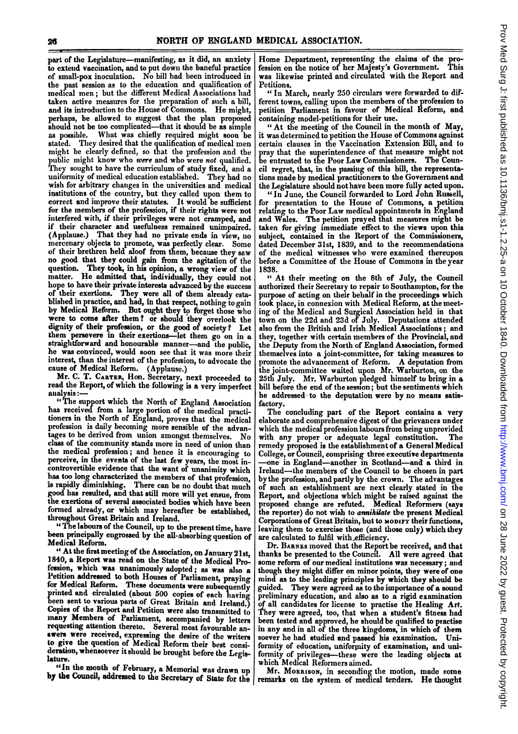part of the Legislature-manifesting, as it did, an anxiety to extend vaccination, and to put down the baneful practice of small-pox inoculation. No bill had been introduced in the past session as to the education and qualification of medical men; but the different Medical Associations had taken active measures for the preparation of such a bill, and its introduction to the House of Commons. He might, perhaps, be allowed to suggest that the plan proposed should not be too complicated—that it should be as simple as possible. What was chiefly required might soon be stated. They desired that the qualification of medical men might be clearly defined, so that the profession and the public might know who were and who were not qualified. They sought to have the curriculum of study fixed, and a uniformity of medical education established. They had no wish for arbitrary changes in the universities and medical institutions of the country, but they called upon them to correct and improve their statutes. It would be sufficient for the members of the profession, if their rights were not interfered with, if their privileges were not cramped, and if their character and usefulness remained unimpaired. (Applause.) That they had no private ends in view, no mercenary objects to promote, was perfectly clear. Some of their brethren held aloof from them, because they saw no good that they could gain from the agitation of the question. They took, in his opinion, a wrong view of the matter. He admitted that, individually, they could not hope to have their private interests advanced by the success of their exertions. They were all of them already esta- blished in practice, and had, in that respect, nothing to gain by Medical Reform. But ought they to forget those who were to come after them? or should they overlook the dignity of their profesion, or the good of society? Let them persevere in their exertions-let them go on in a straightforward and honourable manner-and the public, he was convinced, would soon see that it was more their interest, than the interest of the profession, to advocate the

cause of Medical Reform. (Applause.)<br>Mr. C. T. CARTER, Hon. Secretary, next proceeded to<br>read the Report, of which the following is a very imperfect<br>analysis :--

analysis:—<br>"The support which the North of England Association" has received from <sup>a</sup> large portion of the medical practi tioners in the North of England, proves that the medical profession is daily becoming more sensible of the advan-<br>tages to be derived from union amongst themselves. No class of the community stands more in need of union than the medical profession; and hence it is encouraging to perceive, in the events of the last few years, the most incontrovertible evidence that the want of unanimity which has too long characterized the members of that profession, is rapidly diminishing. There can be no doubt that much good has resulted, and that still more will yet ensue, from the exertions of several associated bodies which have been formed already, or which may hereafter be established,

throughout Great Britain and Ireland.<br>"The labours of the Council, up to the present time, have been principally engrossed by the all-absorbing question of Medical Reform.

"At the first meeting of the Association, on January 21st, 1840, a Report was read on the State of the Medical Pro fesion, which was unanimously adopted; as was also <sup>a</sup> for Medical Reform. These documents were subsequently printed and circulated (about 500 copies of each having been sent to various parts of Great Britain and Ireland.) Copies of the Report and Petition were also transmitted to many Members of Parliament, accompanied by letters requesting attention thereto. Several most favourable answers were received, expressing the desire of the writers to give the question of Medical Reform their best consideration, whensoever it should be brought before the Legis-<br>lature.<br>"In the month of February, a Memorial was drawn up

by the Council, addressed to the Secretary of State for the

Home Department, representing the claims of the pro-<br>fession on the notice of her Majesty's Government. This fession on the notice of her Majesty's Government. was likewise printed and circulated with the Report and Petitions,

" In March, nearly 250 circulars were forwarded to different towns, calling upon the members of the profession to petition Parliament in favour of Medical Reform, and containing model-petitions for their use.

" At the meeting of the Council in the month of May, it was determined to petition the House of Commons against certain clauses in the Vaccination Extension Bill, and to pray that the superintendence of that measure might not be entrusted to the Poor Law Commissioners. The Council regret, that, in the passing of this bill, the representations madeby medical practitioners to the Government and the Legislature should not have been more fully acted upon.

" In June, the Council forwarded to Lord John Russell, for presentation to the House of Commons, a petition<br>relating to the Poor Law medical appointments in England<br>and Wales. The petition prayed that measures might be taken for giving immediate effect to the views upon this subject, contained in the Report of the Commissioners, dated December 31st, 1839, and to the recommendations of the medical witnesses who were examined thereupon before a Committee of the House of Commons in the year 1838.

" At their meeting on the 8th of July, the Council authorized their Secretary to repair to Southampton, for the purpose of acting on their behalf in the proceedings which took place, in connexion with Medical Reform, at the meeting of the Medical and Surgical Association held in that town on the 22d and 23d of July. Deputations attended also from the British and Irish Medical Associations; and they, together with certain members of the Provincial, and the Deputy from the North of England Association, formed themselves into a joint-committee, for taking measures to promote the advancement of Reform. A deputation from the joint-committee waited upon Mr. Warburton, on the 25th July. Mr. Warburton pledged himself to bring in a bill before the end of the session; but the sentiments which he addressed to the deputation were by no means satisfactory.

The concluding part of the Report containa a very elaborate and comprehensive digest of the grievances under which the medical profession labours from being unprovided with any proper or adequate legal constitution. The remedy proposed is tlhe establishment of a General Medical College, or Council, comprising three executive depattments -one in England-another in Scotland-and a third in Ireland-the members of the Council to be chosen in part by the profession, and partly by the crown. The advantages of such an establishment are next clearly stated in the Report, and objections which might be raised against the proposed change are refuted. Medical Reformers (says the reporter) do not wish to annihilate the present Medical Corporations of Great Britain, but to MODIFY their functions, leaving them to exercise those (and those only) which they are calculated to fulfil with,efficiency.

Dr. BARNES moved that the Report be received, and that thanks be presented to the Council. All were agreed that some reform of our medical institutions was necessary; and though they might differ on minor points, they were of one mind as to the leading principles by which they should be guided. They were agreed as to the importance of a sound preliminary education, and also as to a rigid examination of all candidates for license to practise the Healing Art. They were agreed, too, that when a student's fitness had been tested and approved, he should be qualified to practise in any and in all of the three kingdoms, in which of them soever he had studied and passed his examination. Uniformity of education, uniformity of examination, and uniformity of privileges—these were the leading objects at which Medical Reformers aimed.

Mr. MORRISON, in seconding the motion, made some remarks on the system of medical terders. He thought